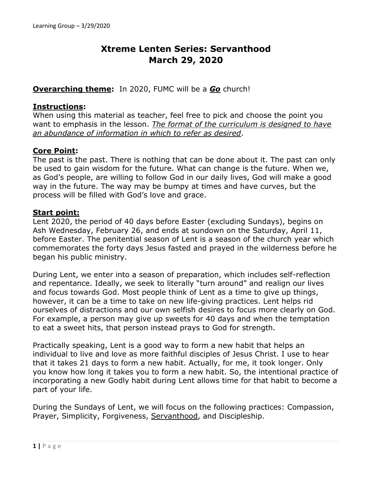# **Xtreme Lenten Series: Servanthood March 29, 2020**

### **Overarching theme:** In 2020, FUMC will be a *Go* church!

### **Instructions:**

When using this material as teacher, feel free to pick and choose the point you want to emphasis in the lesson. *The format of the curriculum is designed to have an abundance of information in which to refer as desired*.

### **Core Point:**

The past is the past. There is nothing that can be done about it. The past can only be used to gain wisdom for the future. What can change is the future. When we, as God's people, are willing to follow God in our daily lives, God will make a good way in the future. The way may be bumpy at times and have curves, but the process will be filled with God's love and grace.

### **Start point:**

Lent 2020, the period of 40 days before Easter (excluding Sundays), begins on Ash Wednesday, February 26, and ends at sundown on the Saturday, April 11, before Easter. The penitential season of Lent is a season of the church year which commemorates the forty days Jesus fasted and prayed in the wilderness before he began his public ministry.

During Lent, we enter into a season of preparation, which includes self-reflection and repentance. Ideally, we seek to literally "turn around" and realign our lives and focus towards God. Most people think of Lent as a time to give up things, however, it can be a time to take on new life-giving practices. Lent helps rid ourselves of distractions and our own selfish desires to focus more clearly on God. For example, a person may give up sweets for 40 days and when the temptation to eat a sweet hits, that person instead prays to God for strength.

Practically speaking, Lent is a good way to form a new habit that helps an individual to live and love as more faithful disciples of Jesus Christ. I use to hear that it takes 21 days to form a new habit. Actually, for me, it took longer. Only you know how long it takes you to form a new habit. So, the intentional practice of incorporating a new Godly habit during Lent allows time for that habit to become a part of your life.

During the Sundays of Lent, we will focus on the following practices: Compassion, Prayer, Simplicity, Forgiveness, Servanthood, and Discipleship.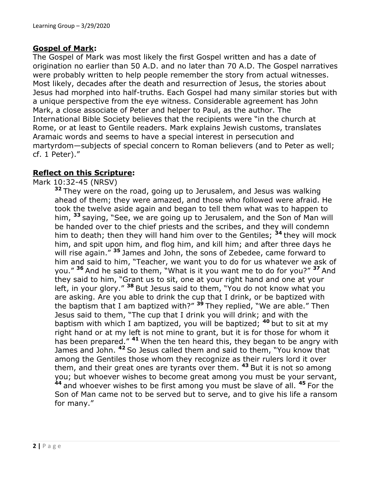### **Gospel of Mark:**

The Gospel of Mark was most likely the first Gospel written and has a date of origination no earlier than 50 A.D. and no later than 70 A.D. The Gospel narratives were probably written to help people remember the story from actual witnesses. Most likely, decades after the death and resurrection of Jesus, the stories about Jesus had morphed into half-truths. Each Gospel had many similar stories but with a unique perspective from the eye witness. Considerable agreement has John Mark, a close associate of Peter and helper to Paul, as the author. The International Bible Society believes that the recipients were "in the church at Rome, or at least to Gentile readers. Mark explains Jewish customs, translates Aramaic words and seems to have a special interest in persecution and martyrdom—subjects of special concern to Roman believers (and to Peter as well; cf. 1 Peter)."

## **Reflect on this Scripture:**

### Mark 10:32-45 (NRSV)

**<sup>32</sup>** They were on the road, going up to Jerusalem, and Jesus was walking ahead of them; they were amazed, and those who followed were afraid. He took the twelve aside again and began to tell them what was to happen to him, **<sup>33</sup>** saying, "See, we are going up to Jerusalem, and the Son of Man will be handed over to the chief priests and the scribes, and they will condemn him to death; then they will hand him over to the Gentiles; **<sup>34</sup>** they will mock him, and spit upon him, and flog him, and kill him; and after three days he will rise again." **<sup>35</sup>** James and John, the sons of Zebedee, came forward to him and said to him, "Teacher, we want you to do for us whatever we ask of you." **<sup>36</sup>** And he said to them, "What is it you want me to do for you?" **<sup>37</sup>** And they said to him, "Grant us to sit, one at your right hand and one at your left, in your glory." **<sup>38</sup>** But Jesus said to them, "You do not know what you are asking. Are you able to drink the cup that I drink, or be baptized with the baptism that I am baptized with?" **<sup>39</sup>** They replied, "We are able." Then Jesus said to them, "The cup that I drink you will drink; and with the baptism with which I am baptized, you will be baptized; **<sup>40</sup>** but to sit at my right hand or at my left is not mine to grant, but it is for those for whom it has been prepared." **<sup>41</sup>** When the ten heard this, they began to be angry with James and John. **<sup>42</sup>** So Jesus called them and said to them, "You know that among the Gentiles those whom they recognize as their rulers lord it over them, and their great ones are tyrants over them. **<sup>43</sup>** But it is not so among you; but whoever wishes to become great among you must be your servant, **<sup>44</sup>** and whoever wishes to be first among you must be slave of all. **<sup>45</sup>** For the Son of Man came not to be served but to serve, and to give his life a ransom for many."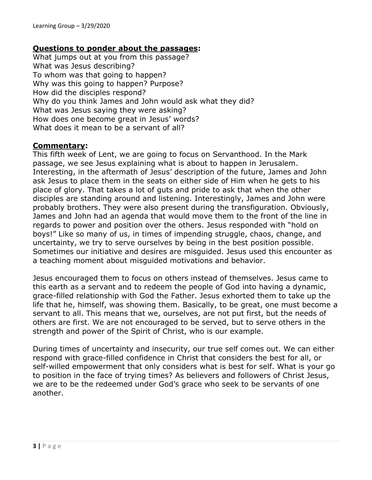### **Questions to ponder about the passages:**

What jumps out at you from this passage? What was Jesus describing? To whom was that going to happen? Why was this going to happen? Purpose? How did the disciples respond? Why do you think James and John would ask what they did? What was Jesus saying they were asking? How does one become great in Jesus' words? What does it mean to be a servant of all?

#### **Commentary:**

This fifth week of Lent, we are going to focus on Servanthood. In the Mark passage, we see Jesus explaining what is about to happen in Jerusalem. Interesting, in the aftermath of Jesus' description of the future, James and John ask Jesus to place them in the seats on either side of Him when he gets to his place of glory. That takes a lot of guts and pride to ask that when the other disciples are standing around and listening. Interestingly, James and John were probably brothers. They were also present during the transfiguration. Obviously, James and John had an agenda that would move them to the front of the line in regards to power and position over the others. Jesus responded with "hold on boys!" Like so many of us, in times of impending struggle, chaos, change, and uncertainty, we try to serve ourselves by being in the best position possible. Sometimes our initiative and desires are misguided. Jesus used this encounter as a teaching moment about misguided motivations and behavior.

Jesus encouraged them to focus on others instead of themselves. Jesus came to this earth as a servant and to redeem the people of God into having a dynamic, grace-filled relationship with God the Father. Jesus exhorted them to take up the life that he, himself, was showing them. Basically, to be great, one must become a servant to all. This means that we, ourselves, are not put first, but the needs of others are first. We are not encouraged to be served, but to serve others in the strength and power of the Spirit of Christ, who is our example.

During times of uncertainty and insecurity, our true self comes out. We can either respond with grace-filled confidence in Christ that considers the best for all, or self-willed empowerment that only considers what is best for self. What is your go to position in the face of trying times? As believers and followers of Christ Jesus, we are to be the redeemed under God's grace who seek to be servants of one another.